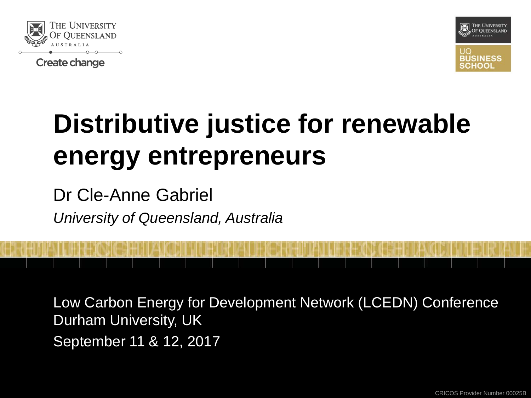

**Create change** 



# **Distributive justice for renewable energy entrepreneurs**

Dr Cle-Anne Gabriel *University of Queensland, Australia*

Low Carbon Energy for Development Network (LCEDN) Conference Durham University, UK September 11 & 12, 2017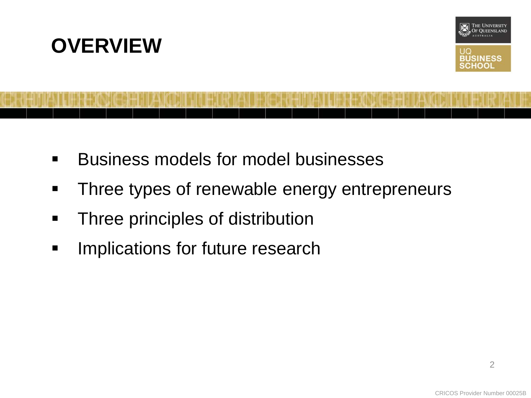



- **Business models for model businesses**
- **Three types of renewable energy entrepreneurs**
- **Three principles of distribution**
- **Implications for future research**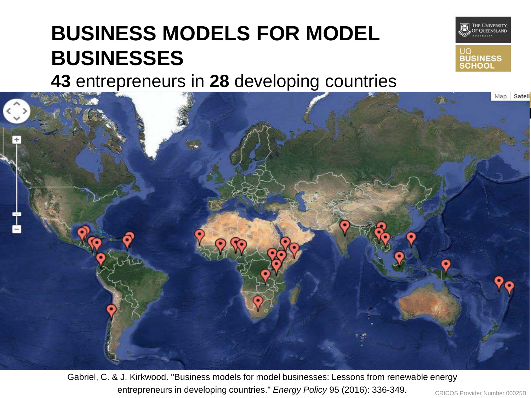### **BUSINESS MODELS FOR MODEL BUSINESSES**



**43** entrepreneurs in **28** developing countries



Gabriel, C. & J. Kirkwood. "Business models for model businesses: Lessons from renewable energy entrepreneurs in developing countries." *Energy Policy* 95 (2016): 336-349.

CRICOS Provider Number 00025B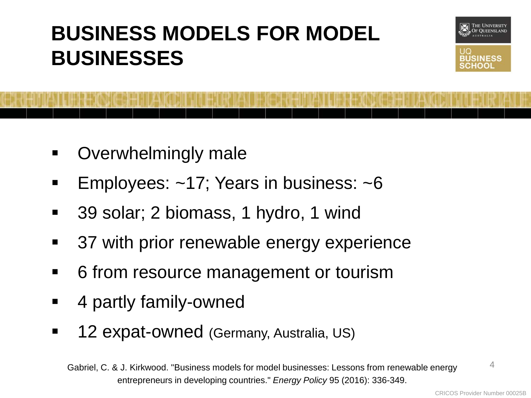### **BUSINESS MODELS FOR MODEL BUSINESSES**



- Overwhelmingly male
- Employees: ~17; Years in business: ~6
- 39 solar; 2 biomass, 1 hydro, 1 wind
- **37 with prior renewable energy experience**
- 6 from resource management or tourism
- 4 partly family-owned
- 12 expat-owned (Germany, Australia, US)

Gabriel, C. & J. Kirkwood. "Business models for model businesses: Lessons from renewable energy entrepreneurs in developing countries." *Energy Policy* 95 (2016): 336-349.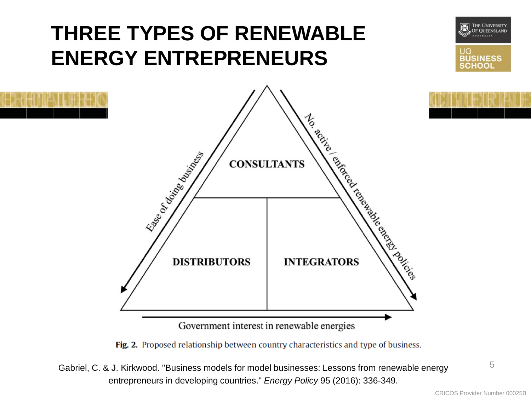### **THREE TYPES OF RENEWABLE ENERGY ENTREPRENEURS**





Fig. 2. Proposed relationship between country characteristics and type of business.

Gabriel, C. & J. Kirkwood. "Business models for model businesses: Lessons from renewable energy entrepreneurs in developing countries." *Energy Policy* 95 (2016): 336-349.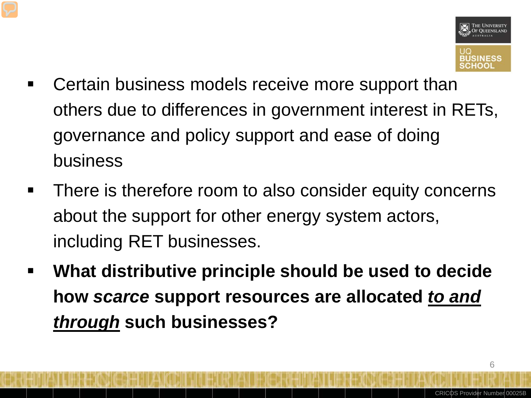

- Certain business models receive more support than others due to differences in government interest in RETs, governance and policy support and ease of doing business
- **There is therefore room to also consider equity concerns** about the support for other energy system actors, including RET businesses.
- **What distributive principle should be used to decide how** *scarce* **support resources are allocated** *to and through* **such businesses?**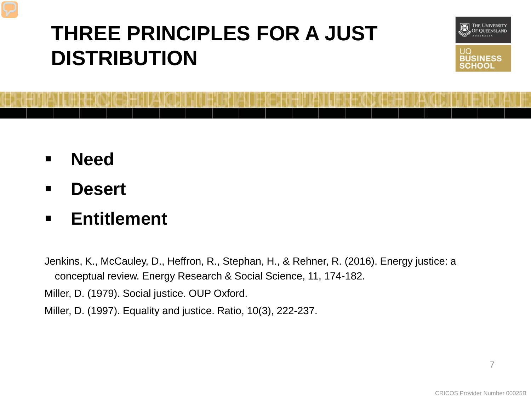### **THREE PRINCIPLES FOR A JUST DISTRIBUTION**



- **Need**
- **Desert**
- **Entitlement**

Jenkins, K., McCauley, D., Heffron, R., Stephan, H., & Rehner, R. (2016). Energy justice: a conceptual review. Energy Research & Social Science, 11, 174-182.

Miller, D. (1979). Social justice. OUP Oxford.

Miller, D. (1997). Equality and justice. Ratio, 10(3), 222-237.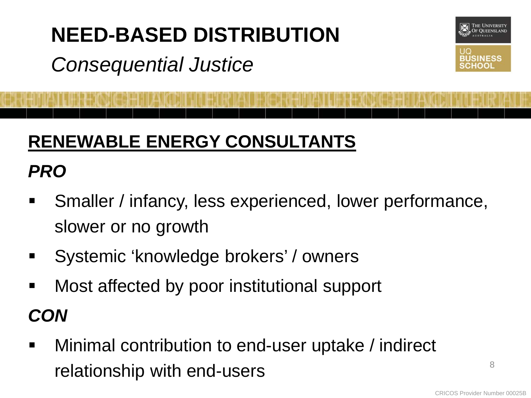#### **NEED-BASED DISTRIBUTION**

### *Consequential Justice*

#### **RENEWABLE ENERGY CONSULTANTS**

#### *PRO*

- Smaller / infancy, less experienced, lower performance, slower or no growth
- Systemic 'knowledge brokers' / owners
- Most affected by poor institutional support

*CON*

 Minimal contribution to end-user uptake / indirect relationship with end-users

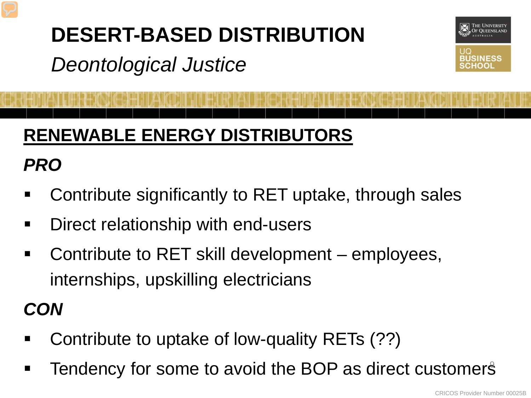### **DESERT-BASED DISTRIBUTION**

*Deontological Justice*



### **RENEWABLE ENERGY DISTRIBUTORS**

#### *PRO*

- Contribute significantly to RET uptake, through sales
- **-** Direct relationship with end-users
- Contribute to RET skill development employees, internships, upskilling electricians

#### *CON*

- Contribute to uptake of low-quality RETs (??)
- Tendency for some to avoid the BOP as direct customers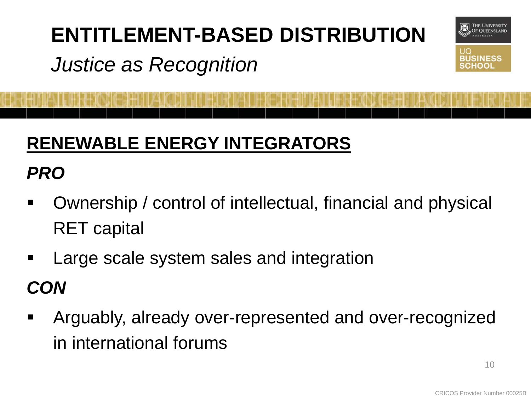# **ENTITLEMENT-BASED DISTRIBUTION**

### *Justice as Recognition*



### **RENEWABLE ENERGY INTEGRATORS**

#### *PRO*

- Ownership / control of intellectual, financial and physical RET capital
- Large scale system sales and integration

#### *CON*

 Arguably, already over-represented and over-recognized in international forums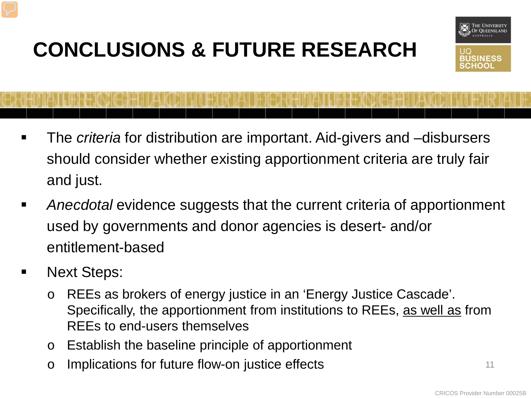## **CONCLUSIONS & FUTURE RESEARCH**



- The *criteria* for distribution are important. Aid-givers and –disbursers should consider whether existing apportionment criteria are truly fair and just.
- *Anecdotal* evidence suggests that the current criteria of apportionment used by governments and donor agencies is desert- and/or entitlement-based
- Next Steps:
	- o REEs as brokers of energy justice in an 'Energy Justice Cascade'. Specifically, the apportionment from institutions to REEs, as well as from REEs to end-users themselves
	- o Establish the baseline principle of apportionment
	- o Implications for future flow-on justice effects  $11$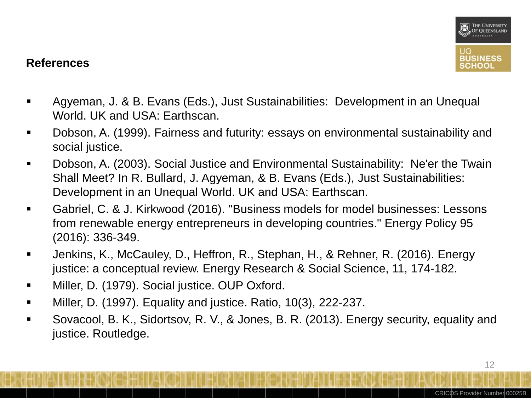

#### **References**

- Agyeman, J. & B. Evans (Eds.), Just Sustainabilities: Development in an Unequal World. UK and USA: Earthscan.
- Dobson, A. (1999). Fairness and futurity: essays on environmental sustainability and social justice.
- Dobson, A. (2003). Social Justice and Environmental Sustainability: Ne'er the Twain Shall Meet? In R. Bullard, J. Agyeman, & B. Evans (Eds.), Just Sustainabilities: Development in an Unequal World. UK and USA: Earthscan.
- Gabriel, C. & J. Kirkwood (2016). "Business models for model businesses: Lessons from renewable energy entrepreneurs in developing countries." Energy Policy 95 (2016): 336-349.
- Jenkins, K., McCauley, D., Heffron, R., Stephan, H., & Rehner, R. (2016). Energy justice: a conceptual review. Energy Research & Social Science, 11, 174-182.
- **Niller, D. (1979). Social justice. OUP Oxford.**
- Miller, D. (1997). Equality and justice. Ratio, 10(3), 222-237.
- Sovacool, B. K., Sidortsov, R. V., & Jones, B. R. (2013). Energy security, equality and justice. Routledge.